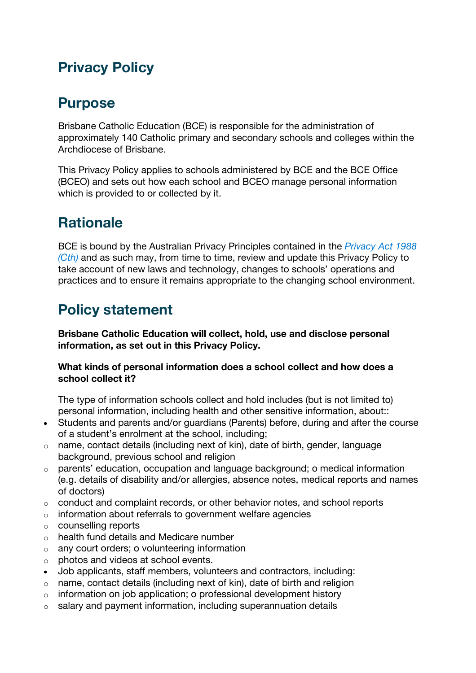## **Privacy Policy**

## **Purpose**

Brisbane Catholic Education (BCE) is responsible for the administration of approximately 140 Catholic primary and secondary schools and colleges within the Archdiocese of Brisbane.

This Privacy Policy applies to schools administered by BCE and the BCE Office (BCEO) and sets out how each school and BCEO manage personal information which is provided to or collected by it.

# **Rationale**

BCE is bound by the Australian Privacy Principles contained in the *Privacy Act 1988 (Cth)* and as such may, from time to time, review and update this Privacy Policy to take account of new laws and technology, changes to schools' operations and practices and to ensure it remains appropriate to the changing school environment.

## **Policy statement**

**Brisbane Catholic Education will collect, hold, use and disclose personal information, as set out in this Privacy Policy.**

### **What kinds of personal information does a school collect and how does a school collect it?**

The type of information schools collect and hold includes (but is not limited to) personal information, including health and other sensitive information, about::

- Students and parents and/or guardians (Parents) before, during and after the course of a student's enrolment at the school, including;
- o name, contact details (including next of kin), date of birth, gender, language background, previous school and religion
- o parents' education, occupation and language background; o medical information (e.g. details of disability and/or allergies, absence notes, medical reports and names of doctors)
- o conduct and complaint records, or other behavior notes, and school reports
- o information about referrals to government welfare agencies
- o counselling reports
- o health fund details and Medicare number
- o any court orders; o volunteering information
- o photos and videos at school events.
- Job applicants, staff members, volunteers and contractors, including:
- $\circ$  name, contact details (including next of kin), date of birth and religion
- o information on job application; o professional development history
- $\circ$  salary and payment information, including superannuation details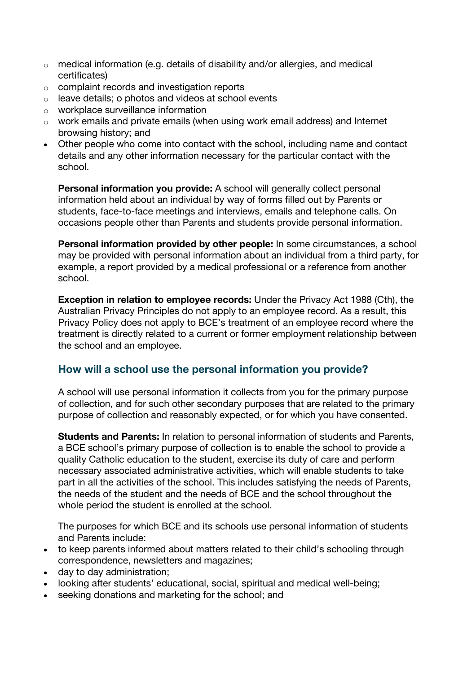- $\circ$  medical information (e.g. details of disability and/or allergies, and medical certificates)
- o complaint records and investigation reports
- $\circ$  leave details; o photos and videos at school events
- o workplace surveillance information
- o work emails and private emails (when using work email address) and Internet browsing history; and
- Other people who come into contact with the school, including name and contact details and any other information necessary for the particular contact with the school.

**Personal information you provide:** A school will generally collect personal information held about an individual by way of forms filled out by Parents or students, face-to-face meetings and interviews, emails and telephone calls. On occasions people other than Parents and students provide personal information.

**Personal information provided by other people:** In some circumstances, a school may be provided with personal information about an individual from a third party, for example, a report provided by a medical professional or a reference from another school.

**Exception in relation to employee records:** Under the Privacy Act 1988 (Cth), the Australian Privacy Principles do not apply to an employee record. As a result, this Privacy Policy does not apply to BCE's treatment of an employee record where the treatment is directly related to a current or former employment relationship between the school and an employee.

## **How will a school use the personal information you provide?**

A school will use personal information it collects from you for the primary purpose of collection, and for such other secondary purposes that are related to the primary purpose of collection and reasonably expected, or for which you have consented.

**Students and Parents:** In relation to personal information of students and Parents, a BCE school's primary purpose of collection is to enable the school to provide a quality Catholic education to the student, exercise its duty of care and perform necessary associated administrative activities, which will enable students to take part in all the activities of the school. This includes satisfying the needs of Parents, the needs of the student and the needs of BCE and the school throughout the whole period the student is enrolled at the school.

The purposes for which BCE and its schools use personal information of students and Parents include:

- to keep parents informed about matters related to their child's schooling through correspondence, newsletters and magazines;
- day to day administration;
- looking after students' educational, social, spiritual and medical well-being;
- seeking donations and marketing for the school; and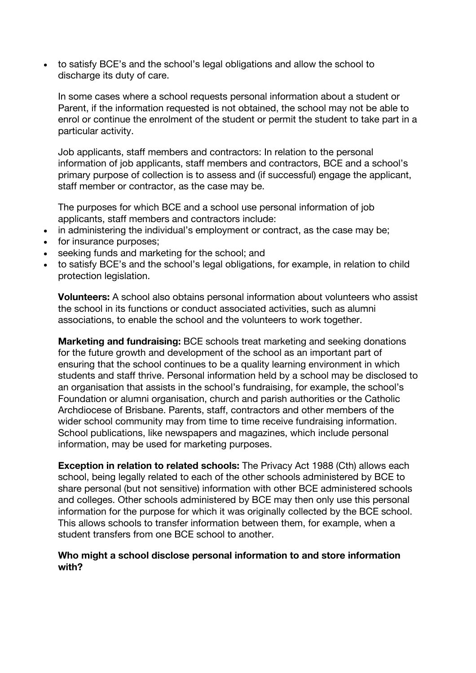• to satisfy BCE's and the school's legal obligations and allow the school to discharge its duty of care.

In some cases where a school requests personal information about a student or Parent, if the information requested is not obtained, the school may not be able to enrol or continue the enrolment of the student or permit the student to take part in a particular activity.

Job applicants, staff members and contractors: In relation to the personal information of job applicants, staff members and contractors, BCE and a school's primary purpose of collection is to assess and (if successful) engage the applicant, staff member or contractor, as the case may be.

The purposes for which BCE and a school use personal information of job applicants, staff members and contractors include:

- in administering the individual's employment or contract, as the case may be;
- for insurance purposes:
- seeking funds and marketing for the school; and
- to satisfy BCE's and the school's legal obligations, for example, in relation to child protection legislation.

**Volunteers:** A school also obtains personal information about volunteers who assist the school in its functions or conduct associated activities, such as alumni associations, to enable the school and the volunteers to work together.

**Marketing and fundraising:** BCE schools treat marketing and seeking donations for the future growth and development of the school as an important part of ensuring that the school continues to be a quality learning environment in which students and staff thrive. Personal information held by a school may be disclosed to an organisation that assists in the school's fundraising, for example, the school's Foundation or alumni organisation, church and parish authorities or the Catholic Archdiocese of Brisbane. Parents, staff, contractors and other members of the wider school community may from time to time receive fundraising information. School publications, like newspapers and magazines, which include personal information, may be used for marketing purposes.

**Exception in relation to related schools:** The Privacy Act 1988 (Cth) allows each school, being legally related to each of the other schools administered by BCE to share personal (but not sensitive) information with other BCE administered schools and colleges. Other schools administered by BCE may then only use this personal information for the purpose for which it was originally collected by the BCE school. This allows schools to transfer information between them, for example, when a student transfers from one BCE school to another.

#### **Who might a school disclose personal information to and store information with?**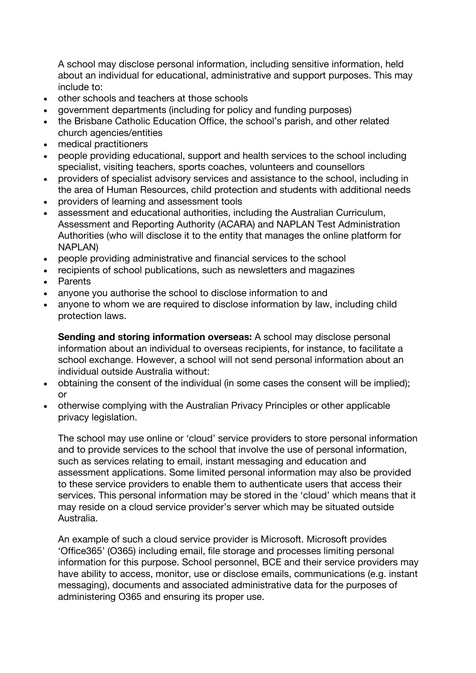A school may disclose personal information, including sensitive information, held about an individual for educational, administrative and support purposes. This may include to:

- other schools and teachers at those schools
- government departments (including for policy and funding purposes)
- the Brisbane Catholic Education Office, the school's parish, and other related church agencies/entities
- medical practitioners
- people providing educational, support and health services to the school including specialist, visiting teachers, sports coaches, volunteers and counsellors
- providers of specialist advisory services and assistance to the school, including in the area of Human Resources, child protection and students with additional needs
- providers of learning and assessment tools
- assessment and educational authorities, including the Australian Curriculum, Assessment and Reporting Authority (ACARA) and NAPLAN Test Administration Authorities (who will disclose it to the entity that manages the online platform for NAPLAN)
- people providing administrative and financial services to the school
- recipients of school publications, such as newsletters and magazines
- Parents
- anyone you authorise the school to disclose information to and
- anyone to whom we are required to disclose information by law, including child protection laws.

**Sending and storing information overseas:** A school may disclose personal information about an individual to overseas recipients, for instance, to facilitate a school exchange. However, a school will not send personal information about an individual outside Australia without:

- obtaining the consent of the individual (in some cases the consent will be implied); or
- otherwise complying with the Australian Privacy Principles or other applicable privacy legislation.

The school may use online or 'cloud' service providers to store personal information and to provide services to the school that involve the use of personal information, such as services relating to email, instant messaging and education and assessment applications. Some limited personal information may also be provided to these service providers to enable them to authenticate users that access their services. This personal information may be stored in the 'cloud' which means that it may reside on a cloud service provider's server which may be situated outside Australia.

An example of such a cloud service provider is Microsoft. Microsoft provides 'Office365' (O365) including email, file storage and processes limiting personal information for this purpose. School personnel, BCE and their service providers may have ability to access, monitor, use or disclose emails, communications (e.g. instant messaging), documents and associated administrative data for the purposes of administering O365 and ensuring its proper use.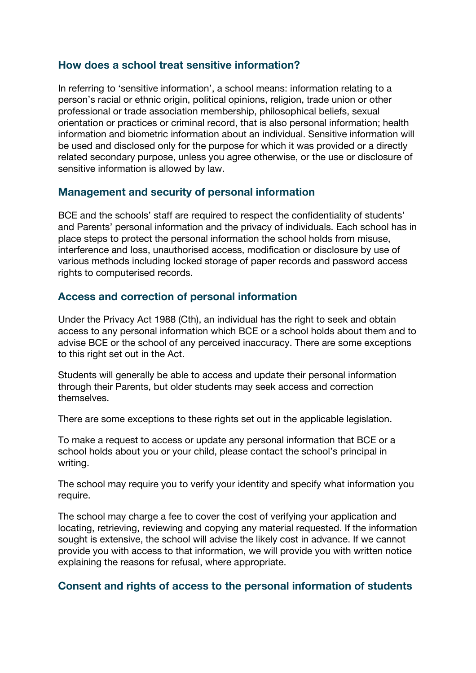## **How does a school treat sensitive information?**

In referring to 'sensitive information', a school means: information relating to a person's racial or ethnic origin, political opinions, religion, trade union or other professional or trade association membership, philosophical beliefs, sexual orientation or practices or criminal record, that is also personal information; health information and biometric information about an individual. Sensitive information will be used and disclosed only for the purpose for which it was provided or a directly related secondary purpose, unless you agree otherwise, or the use or disclosure of sensitive information is allowed by law.

## **Management and security of personal information**

BCE and the schools' staff are required to respect the confidentiality of students' and Parents' personal information and the privacy of individuals. Each school has in place steps to protect the personal information the school holds from misuse, interference and loss, unauthorised access, modification or disclosure by use of various methods including locked storage of paper records and password access rights to computerised records.

## **Access and correction of personal information**

Under the Privacy Act 1988 (Cth), an individual has the right to seek and obtain access to any personal information which BCE or a school holds about them and to advise BCE or the school of any perceived inaccuracy. There are some exceptions to this right set out in the Act.

Students will generally be able to access and update their personal information through their Parents, but older students may seek access and correction themselves.

There are some exceptions to these rights set out in the applicable legislation.

To make a request to access or update any personal information that BCE or a school holds about you or your child, please contact the school's principal in writing.

The school may require you to verify your identity and specify what information you require.

The school may charge a fee to cover the cost of verifying your application and locating, retrieving, reviewing and copying any material requested. If the information sought is extensive, the school will advise the likely cost in advance. If we cannot provide you with access to that information, we will provide you with written notice explaining the reasons for refusal, where appropriate.

### **Consent and rights of access to the personal information of students**